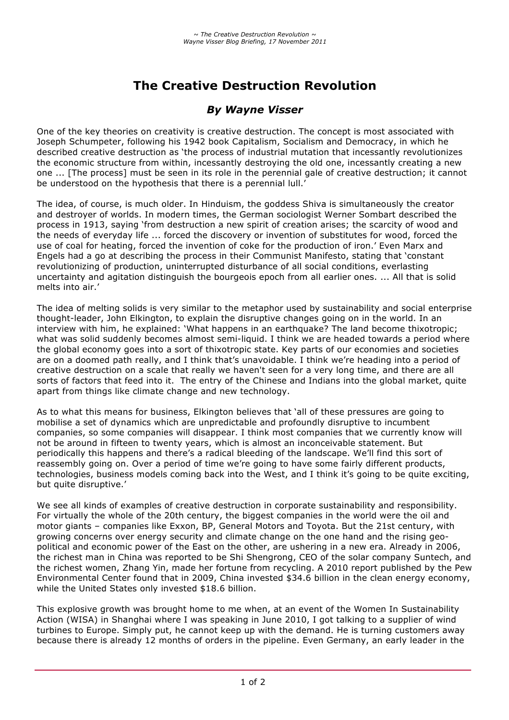# **The Creative Destruction Revolution**

## *By Wayne Visser*

One of the key theories on creativity is creative destruction. The concept is most associated with Joseph Schumpeter, following his 1942 book Capitalism, Socialism and Democracy, in which he described creative destruction as 'the process of industrial mutation that incessantly revolutionizes the economic structure from within, incessantly destroying the old one, incessantly creating a new one ... [The process] must be seen in its role in the perennial gale of creative destruction; it cannot be understood on the hypothesis that there is a perennial lull.'

The idea, of course, is much older. In Hinduism, the goddess Shiva is simultaneously the creator and destroyer of worlds. In modern times, the German sociologist Werner Sombart described the process in 1913, saying 'from destruction a new spirit of creation arises; the scarcity of wood and the needs of everyday life ... forced the discovery or invention of substitutes for wood, forced the use of coal for heating, forced the invention of coke for the production of iron.' Even Marx and Engels had a go at describing the process in their Communist Manifesto, stating that 'constant revolutionizing of production, uninterrupted disturbance of all social conditions, everlasting uncertainty and agitation distinguish the bourgeois epoch from all earlier ones. ... All that is solid melts into air.'

The idea of melting solids is very similar to the metaphor used by sustainability and social enterprise thought-leader, John Elkington, to explain the disruptive changes going on in the world. In an interview with him, he explained: 'What happens in an earthquake? The land become thixotropic; what was solid suddenly becomes almost semi-liquid. I think we are headed towards a period where the global economy goes into a sort of thixotropic state. Key parts of our economies and societies are on a doomed path really, and I think that's unavoidable. I think we're heading into a period of creative destruction on a scale that really we haven't seen for a very long time, and there are all sorts of factors that feed into it. The entry of the Chinese and Indians into the global market, quite apart from things like climate change and new technology.

As to what this means for business, Elkington believes that 'all of these pressures are going to mobilise a set of dynamics which are unpredictable and profoundly disruptive to incumbent companies, so some companies will disappear. I think most companies that we currently know will not be around in fifteen to twenty years, which is almost an inconceivable statement. But periodically this happens and there's a radical bleeding of the landscape. We'll find this sort of reassembly going on. Over a period of time we're going to have some fairly different products, technologies, business models coming back into the West, and I think it's going to be quite exciting, but quite disruptive.'

We see all kinds of examples of creative destruction in corporate sustainability and responsibility. For virtually the whole of the 20th century, the biggest companies in the world were the oil and motor giants – companies like Exxon, BP, General Motors and Toyota. But the 21st century, with growing concerns over energy security and climate change on the one hand and the rising geopolitical and economic power of the East on the other, are ushering in a new era. Already in 2006, the richest man in China was reported to be Shi Shengrong, CEO of the solar company Suntech, and the richest women, Zhang Yin, made her fortune from recycling. A 2010 report published by the Pew Environmental Center found that in 2009, China invested \$34.6 billion in the clean energy economy, while the United States only invested \$18.6 billion.

This explosive growth was brought home to me when, at an event of the Women In Sustainability Action (WISA) in Shanghai where I was speaking in June 2010, I got talking to a supplier of wind turbines to Europe. Simply put, he cannot keep up with the demand. He is turning customers away because there is already 12 months of orders in the pipeline. Even Germany, an early leader in the